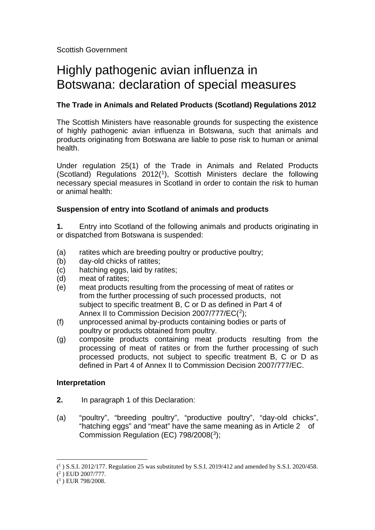Scottish Government

# Highly pathogenic avian influenza in Botswana: declaration of special measures

## **The Trade in Animals and Related Products (Scotland) Regulations 2012**

The Scottish Ministers have reasonable grounds for suspecting the existence of highly pathogenic avian influenza in Botswana, such that animals and products originating from Botswana are liable to pose risk to human or animal health.

Under regulation 25(1) of the Trade in Animals and Related Products (Scotland) Regulations  $2012(1)$  $2012(1)$  $2012(1)$ , Scottish Ministers declare the following necessary special measures in Scotland in order to contain the risk to human or animal health:

### **Suspension of entry into Scotland of animals and products**

**1.** Entry into Scotland of the following animals and products originating in or dispatched from Botswana is suspended:

- (a) ratites which are breeding poultry or productive poultry;
- (b) day-old chicks of ratites;
- (c) hatching eggs, laid by ratites;
- (d) meat of ratites;
- (e) meat products resulting from the processing of meat of ratites or from the further processing of such processed products, not subject to specific treatment B, C or D as defined in Part 4 of Annex II to Commission Decision [2](#page-0-1)007/777/EC(2);
- (f) unprocessed animal by-products containing bodies or parts of poultry or products obtained from poultry.
- (g) composite products containing meat products resulting from the processing of meat of ratites or from the further processing of such processed products, not subject to specific treatment B, C or D as defined in Part 4 of Annex II to Commission Decision 2007/777/EC.

#### **Interpretation**

- **2.** In paragraph 1 of this Declaration:
- (a) "poultry", "breeding poultry", "productive poultry", "day-old chicks", "hatching eggs" and "meat" have the same meaning as in Article 2 of Commission Regulation (EC)  $798/2008(^3)$  $798/2008(^3)$  $798/2008(^3)$ ;

<span id="page-0-1"></span><span id="page-0-0"></span> $(1)$  S.S.I. 2012/177. Regulation 25 was substituted by S.S.I. 2019/412 and amended by S.S.I. 2020/458.

<sup>(</sup> <sup>2</sup> ) EUD 2007/777.

<span id="page-0-2"></span><sup>(</sup> <sup>3</sup> ) EUR 798/2008.